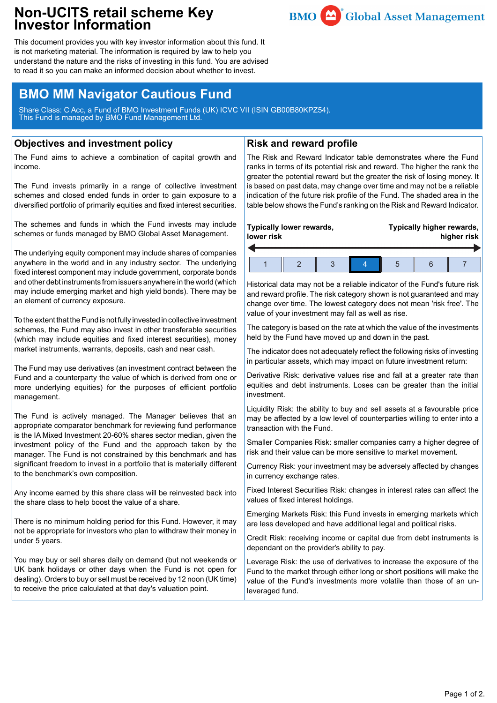## **Non-UCITS retail scheme Key Investor Information**



This document provides you with key investor information about this fund. It is not marketing material. The information is required by law to help you understand the nature and the risks of investing in this fund. You are advised to read it so you can make an informed decision about whether to invest.

# **BMO MM Navigator Cautious Fund**

Share Class: C Acc, a Fund of BMO Investment Funds (UK) ICVC VII (ISIN GB00B80KPZ54). This Fund is managed by BMO Fund Management Ltd.

## **Objectives and investment policy**

The Fund aims to achieve a combination of capital growth and income.

The Fund invests primarily in a range of collective investment schemes and closed ended funds in order to gain exposure to a diversified portfolio of primarily equities and fixed interest securities.

The schemes and funds in which the Fund invests may include schemes or funds managed by BMO Global Asset Management.

The underlying equity component may include shares of companies anywhere in the world and in any industry sector. The underlying fixed interest component may include government, corporate bonds and other debt instruments from issuers anywhere in the world (which may include emerging market and high yield bonds). There may be an element of currency exposure.

To the extent that the Fund is not fully invested in collective investment schemes, the Fund may also invest in other transferable securities (which may include equities and fixed interest securities), money market instruments, warrants, deposits, cash and near cash.

The Fund may use derivatives (an investment contract between the Fund and a counterparty the value of which is derived from one or more underlying equities) for the purposes of efficient portfolio management.

The Fund is actively managed. The Manager believes that an appropriate comparator benchmark for reviewing fund performance is the IA Mixed Investment 20-60% shares sector median, given the investment policy of the Fund and the approach taken by the manager. The Fund is not constrained by this benchmark and has significant freedom to invest in a portfolio that is materially different to the benchmark's own composition.

Any income earned by this share class will be reinvested back into the share class to help boost the value of a share.

There is no minimum holding period for this Fund. However, it may not be appropriate for investors who plan to withdraw their money in under 5 years.

You may buy or sell shares daily on demand (but not weekends or UK bank holidays or other days when the Fund is not open for dealing). Orders to buy or sell must be received by 12 noon (UK time) to receive the price calculated at that day's valuation point.

## **Risk and reward profile**

The Risk and Reward Indicator table demonstrates where the Fund ranks in terms of its potential risk and reward. The higher the rank the greater the potential reward but the greater the risk of losing money. It is based on past data, may change over time and may not be a reliable indication of the future risk profile of the Fund. The shaded area in the table below shows the Fund's ranking on the Risk and Reward Indicator.

#### **Typically lower rewards, lower risk Typically higher rewards, higher risk** 1 2 3 4 5 6 7

Historical data may not be a reliable indicator of the Fund's future risk and reward profile. The risk category shown is not guaranteed and may change over time. The lowest category does not mean 'risk free'. The value of your investment may fall as well as rise.

The category is based on the rate at which the value of the investments held by the Fund have moved up and down in the past.

The indicator does not adequately reflect the following risks of investing in particular assets, which may impact on future investment return:

Derivative Risk: derivative values rise and fall at a greater rate than equities and debt instruments. Loses can be greater than the initial investment.

Liquidity Risk: the ability to buy and sell assets at a favourable price may be affected by a low level of counterparties willing to enter into a transaction with the Fund.

Smaller Companies Risk: smaller companies carry a higher degree of risk and their value can be more sensitive to market movement.

Currency Risk: your investment may be adversely affected by changes in currency exchange rates.

Fixed Interest Securities Risk: changes in interest rates can affect the values of fixed interest holdings.

Emerging Markets Risk: this Fund invests in emerging markets which are less developed and have additional legal and political risks.

Credit Risk: receiving income or capital due from debt instruments is dependant on the provider's ability to pay.

Leverage Risk: the use of derivatives to increase the exposure of the Fund to the market through either long or short positions will make the value of the Fund's investments more volatile than those of an unleveraged fund.